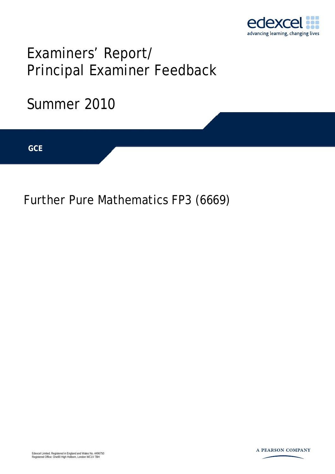

# Examiners' Report/ Principal Examiner Feedback

## Summer 2010

**IGCSE GCE** 

Further Pure Mathematics FP3 (6669)

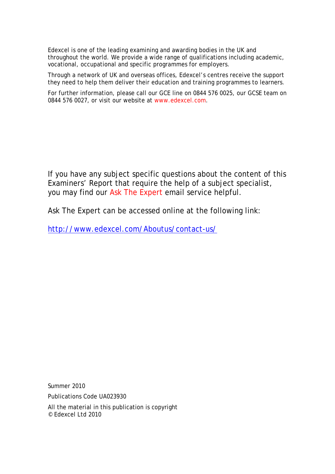Edexcel is one of the leading examining and awarding bodies in the UK and throughout the world. We provide a wide range of qualifications including academic, vocational, occupational and specific programmes for employers.

Through a network of UK and overseas offices, Edexcel's centres receive the support they need to help them deliver their education and training programmes to learners.

For further information, please call our GCE line on 0844 576 0025, our GCSE team on 0844 576 0027, or visit our website at www.edexcel.com.

If you have any subject specific questions about the content of this Examiners' Report that require the help of a subject specialist, you may find our Ask The Expert email service helpful.

Ask The Expert can be accessed online at the following link:

http://www.edexcel.com/Aboutus/contact-us/

Summer 2010

Publications Code UA023930

All the material in this publication is copyright © Edexcel Ltd 2010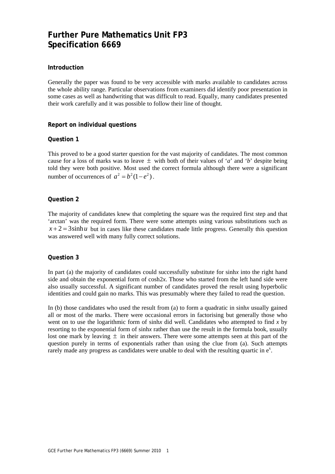### **Further Pure Mathematics Unit FP3 Specification 6669**

#### **Introduction**

Generally the paper was found to be very accessible with marks available to candidates across the whole ability range. Particular observations from examiners did identify poor presentation in some cases as well as handwriting that was difficult to read. Equally, many candidates presented their work carefully and it was possible to follow their line of thought.

#### **Report on individual questions**

#### **Question 1**

This proved to be a good starter question for the vast majority of candidates. The most common cause for a loss of marks was to leave  $\pm$  with both of their values of '*a*' and '*b*' despite being told they were both positive. Most used the correct formula although there were a significant number of occurrences of  $a^2 = b^2(1-e^2)$ .

#### **Question 2**

The majority of candidates knew that completing the square was the required first step and that 'arctan' was the required form. There were some attempts using various substitutions such as  $x + 2 = 3 \sinh u$  but in cases like these candidates made little progress. Generally this question was answered well with many fully correct solutions.

#### **Question 3**

In part (a) the majority of candidates could successfully substitute for sinh*x* into the right hand side and obtain the exponential form of  $cosh 2x$ . Those who started from the left hand side were also usually successful. A significant number of candidates proved the result using hyperbolic identities and could gain no marks. This was presumably where they failed to read the question.

In (b) those candidates who used the result from (a) to form a quadratic in sinh*x* usually gained all or most of the marks. There were occasional errors in factorising but generally those who went on to use the logarithmic form of sinh*x* did well. Candidates who attempted to find *x* by resorting to the exponential form of sinh*x* rather than use the result in the formula book, usually lost one mark by leaving  $\pm$  in their answers. There were some attempts seen at this part of the question purely in terms of exponentials rather than using the clue from (a). Such attempts rarely made any progress as candidates were unable to deal with the resulting quartic in  $e^x$ .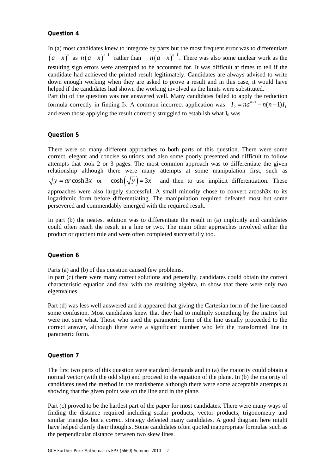#### **Question 4**

In (a) most candidates knew to integrate by parts but the most frequent error was to differentiate  $(a-x)^n$  as  $n(a-x)^{n-1}$  rather than  $-n(a-x)^{n-1}$ . There was also some unclear work as the resulting sign errors were attempted to be accounted for. It was difficult at times to tell if the candidate had achieved the printed result legitimately. Candidates are always advised to write down enough working when they are asked to prove a result and in this case, it would have helped if the candidates had shown the working involved as the limits were substituted.

Part (b) of the question was not answered well. Many candidates failed to apply the reduction formula correctly in finding I<sub>2</sub>. A common incorrect application was  $I_2 = na^{n-1} - n(n-1)I_1$ and even those applying the result correctly struggled to establish what  $I_0$  was.

#### **Question 5**

There were so many different approaches to both parts of this question. There were some correct, elegant and concise solutions and also some poorly presented and difficult to follow attempts that took 2 or 3 pages. The most common approach was to differentiate the given relationship although there were many attempts at some manipulation first, such as  $\sqrt{y} = ar \cosh 3x$  or  $\cosh(\sqrt{y}) = 3x$  and then to use implicit differentiation. These approaches were also largely successful. A small minority chose to convert arcosh3x to its logarithmic form before differentiating. The manipulation required defeated most but some persevered and commendably emerged with the required result.

In part (b) the neatest solution was to differentiate the result in (a) implicitly and candidates could often reach the result in a line or two. The main other approaches involved either the product or quotient rule and were often completed successfully too.

#### **Question 6**

Parts (a) and (b) of this question caused few problems.

In part (c) there were many correct solutions and generally, candidates could obtain the correct characteristic equation and deal with the resulting algebra, to show that there were only two eigenvalues.

Part (d) was less well answered and it appeared that giving the Cartesian form of the line caused some confusion. Most candidates knew that they had to multiply something by the matrix but were not sure what. Those who used the parametric form of the line usually proceeded to the correct answer, although there were a significant number who left the transformed line in parametric form.

#### **Question 7**

The first two parts of this question were standard demands and in (a) the majority could obtain a normal vector (with the odd slip) and proceed to the equation of the plane. In (b) the majority of candidates used the method in the marksheme although there were some acceptable attempts at showing that the given point was on the line and in the plane.

Part (c) proved to be the hardest part of the paper for most candidates. There were many ways of finding the distance required including scalar products, vector products, trigonometry and similar triangles but a correct strategy defeated many candidates. A good diagram here might have helped clarify their thoughts. Some candidates often quoted inappropriate formulae such as the perpendicular distance between two skew lines.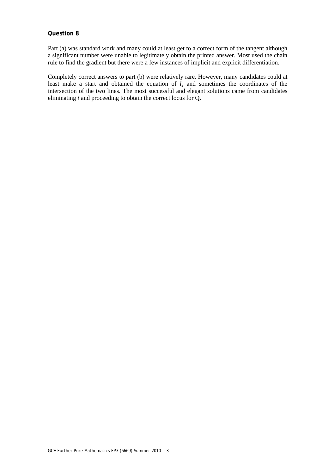#### **Question 8**

Part (a) was standard work and many could at least get to a correct form of the tangent although a significant number were unable to legitimately obtain the printed answer. Most used the chain rule to find the gradient but there were a few instances of implicit and explicit differentiation.

Completely correct answers to part (b) were relatively rare. However, many candidates could at least make a start and obtained the equation of  $l_2$  and sometimes the coordinates of the intersection of the two lines. The most successful and elegant solutions came from candidates eliminating *t* and proceeding to obtain the correct locus for Q.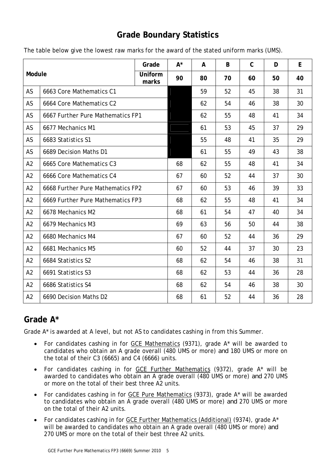## **Grade Boundary Statistics**

| Module         |                                   | Grade            | $A^*$ | A  | B  | $\mathsf{C}$ | D  | E  |
|----------------|-----------------------------------|------------------|-------|----|----|--------------|----|----|
|                |                                   | Uniform<br>marks | 90    | 80 | 70 | 60           | 50 | 40 |
| AS             | 6663 Core Mathematics C1          |                  |       | 59 | 52 | 45           | 38 | 31 |
| AS             | 6664 Core Mathematics C2          |                  |       | 62 | 54 | 46           | 38 | 30 |
| AS             | 6667 Further Pure Mathematics FP1 |                  |       | 62 | 55 | 48           | 41 | 34 |
| AS             | 6677 Mechanics M1                 |                  |       | 61 | 53 | 45           | 37 | 29 |
| AS             | 6683 Statistics S1                |                  |       | 55 | 48 | 41           | 35 | 29 |
| AS             | 6689 Decision Maths D1            |                  |       | 61 | 55 | 49           | 43 | 38 |
| A2             | 6665 Core Mathematics C3          |                  | 68    | 62 | 55 | 48           | 41 | 34 |
| A2             | 6666 Core Mathematics C4          |                  | 67    | 60 | 52 | 44           | 37 | 30 |
| A2             | 6668 Further Pure Mathematics FP2 |                  | 67    | 60 | 53 | 46           | 39 | 33 |
| A2             | 6669 Further Pure Mathematics FP3 |                  | 68    | 62 | 55 | 48           | 41 | 34 |
| A2             | 6678 Mechanics M2                 |                  | 68    | 61 | 54 | 47           | 40 | 34 |
| A2             | 6679 Mechanics M3                 |                  | 69    | 63 | 56 | 50           | 44 | 38 |
| A <sub>2</sub> | 6680 Mechanics M4                 |                  | 67    | 60 | 52 | 44           | 36 | 29 |
| A2             | 6681 Mechanics M5                 |                  | 60    | 52 | 44 | 37           | 30 | 23 |
| A2             | 6684 Statistics S2                |                  | 68    | 62 | 54 | 46           | 38 | 31 |
| A2             | 6691 Statistics S3                |                  | 68    | 62 | 53 | 44           | 36 | 28 |
| A2             | 6686 Statistics S4                |                  | 68    | 62 | 54 | 46           | 38 | 30 |
| A2             | 6690 Decision Maths D2            |                  | 68    | 61 | 52 | 44           | 36 | 28 |

The table below give the lowest raw marks for the award of the stated uniform marks (UMS).

## **Grade A\***

Grade A\* is awarded at A level, but not AS to candidates cashing in from this Summer.

- For candidates cashing in for GCE Mathematics (9371), grade A\* will be awarded to candidates who obtain an A grade overall (480 UMS or more) *and* 180 UMS or more on the total of their C3 (6665) and C4 (6666) units.
- For candidates cashing in for GCE Further Mathematics (9372), grade A\* will be awarded to candidates who obtain an A grade overall (480 UMS or more) *and* 270 UMS or more on the total of their best three A2 units.
- For candidates cashing in for GCE Pure Mathematics (9373), grade A\* will be awarded to candidates who obtain an A grade overall (480 UMS or more) *and* 270 UMS or more on the total of their A2 units.
- For candidates cashing in for GCE Further Mathematics (Additional) (9374), grade A\* will be awarded to candidates who obtain an A grade overall (480 UMS or more) *and*  270 UMS or more on the total of their best three A2 units.